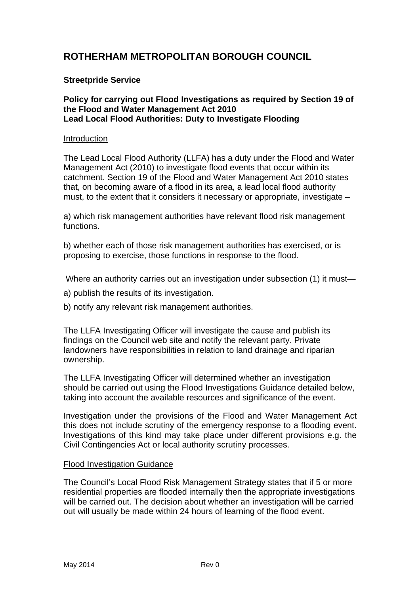# **ROTHERHAM METROPOLITAN BOROUGH COUNCIL**

# **Streetpride Service**

## **Policy for carrying out Flood Investigations as required by Section 19 of the Flood and Water Management Act 2010 Lead Local Flood Authorities: Duty to Investigate Flooding**

## **Introduction**

The Lead Local Flood Authority (LLFA) has a duty under the Flood and Water Management Act (2010) to investigate flood events that occur within its catchment. Section 19 of the Flood and Water Management Act 2010 states that, on becoming aware of a flood in its area, a lead local flood authority must, to the extent that it considers it necessary or appropriate, investigate –

a) which risk management authorities have relevant flood risk management functions.

b) whether each of those risk management authorities has exercised, or is proposing to exercise, those functions in response to the flood.

Where an authority carries out an investigation under subsection (1) it must—

- a) publish the results of its investigation.
- b) notify any relevant risk management authorities.

The LLFA Investigating Officer will investigate the cause and publish its findings on the Council web site and notify the relevant party. Private landowners have responsibilities in relation to land drainage and riparian ownership.

The LLFA Investigating Officer will determined whether an investigation should be carried out using the Flood Investigations Guidance detailed below, taking into account the available resources and significance of the event.

Investigation under the provisions of the Flood and Water Management Act this does not include scrutiny of the emergency response to a flooding event. Investigations of this kind may take place under different provisions e.g. the Civil Contingencies Act or local authority scrutiny processes.

## Flood Investigation Guidance

The Council's Local Flood Risk Management Strategy states that if 5 or more residential properties are flooded internally then the appropriate investigations will be carried out. The decision about whether an investigation will be carried out will usually be made within 24 hours of learning of the flood event.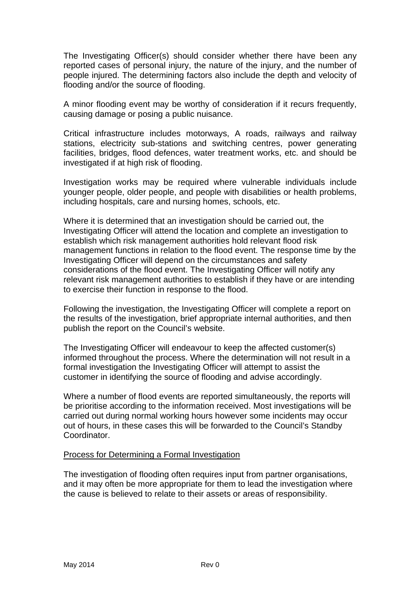The Investigating Officer(s) should consider whether there have been any reported cases of personal injury, the nature of the injury, and the number of people injured. The determining factors also include the depth and velocity of flooding and/or the source of flooding.

A minor flooding event may be worthy of consideration if it recurs frequently, causing damage or posing a public nuisance.

Critical infrastructure includes motorways, A roads, railways and railway stations, electricity sub-stations and switching centres, power generating facilities, bridges, flood defences, water treatment works, etc. and should be investigated if at high risk of flooding.

Investigation works may be required where vulnerable individuals include younger people, older people, and people with disabilities or health problems, including hospitals, care and nursing homes, schools, etc.

Where it is determined that an investigation should be carried out, the Investigating Officer will attend the location and complete an investigation to establish which risk management authorities hold relevant flood risk management functions in relation to the flood event. The response time by the Investigating Officer will depend on the circumstances and safety considerations of the flood event. The Investigating Officer will notify any relevant risk management authorities to establish if they have or are intending to exercise their function in response to the flood.

Following the investigation, the Investigating Officer will complete a report on the results of the investigation, brief appropriate internal authorities, and then publish the report on the Council's website.

The Investigating Officer will endeavour to keep the affected customer(s) informed throughout the process. Where the determination will not result in a formal investigation the Investigating Officer will attempt to assist the customer in identifying the source of flooding and advise accordingly.

Where a number of flood events are reported simultaneously, the reports will be prioritise according to the information received. Most investigations will be carried out during normal working hours however some incidents may occur out of hours, in these cases this will be forwarded to the Council's Standby Coordinator.

# Process for Determining a Formal Investigation

The investigation of flooding often requires input from partner organisations, and it may often be more appropriate for them to lead the investigation where the cause is believed to relate to their assets or areas of responsibility.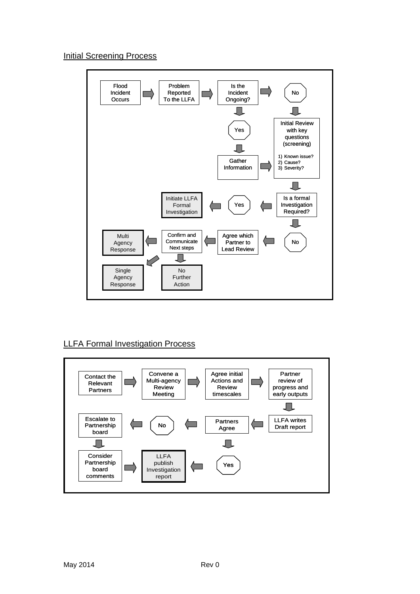# Initial Screening Process



# LLFA Formal Investigation Process

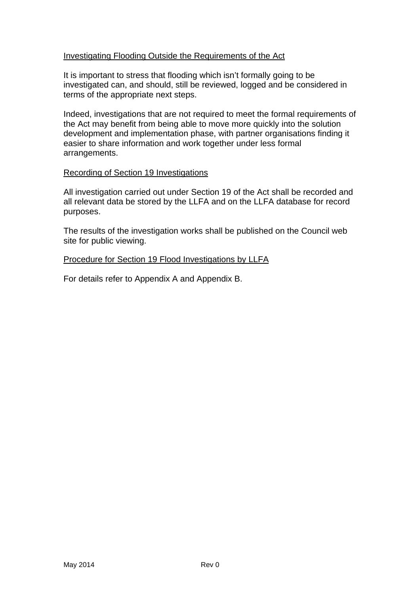# Investigating Flooding Outside the Requirements of the Act

It is important to stress that flooding which isn't formally going to be investigated can, and should, still be reviewed, logged and be considered in terms of the appropriate next steps.

Indeed, investigations that are not required to meet the formal requirements of the Act may benefit from being able to move more quickly into the solution development and implementation phase, with partner organisations finding it easier to share information and work together under less formal arrangements.

# Recording of Section 19 Investigations

All investigation carried out under Section 19 of the Act shall be recorded and all relevant data be stored by the LLFA and on the LLFA database for record purposes.

The results of the investigation works shall be published on the Council web site for public viewing.

# Procedure for Section 19 Flood Investigations by LLFA

For details refer to Appendix A and Appendix B.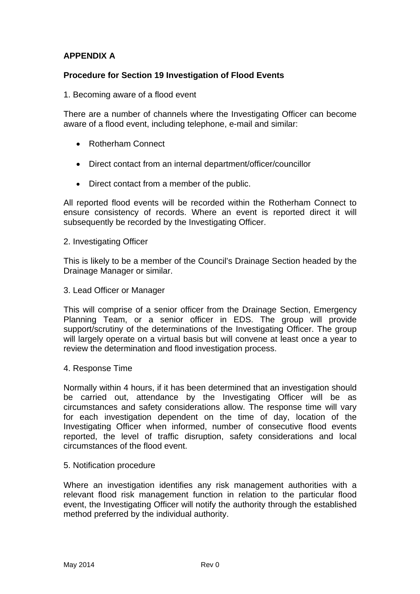# **APPENDIX A**

# **Procedure for Section 19 Investigation of Flood Events**

1. Becoming aware of a flood event

There are a number of channels where the Investigating Officer can become aware of a flood event, including telephone, e-mail and similar:

- Rotherham Connect
- Direct contact from an internal department/officer/councillor
- Direct contact from a member of the public.

All reported flood events will be recorded within the Rotherham Connect to ensure consistency of records. Where an event is reported direct it will subsequently be recorded by the Investigating Officer.

#### 2. Investigating Officer

This is likely to be a member of the Council's Drainage Section headed by the Drainage Manager or similar.

#### 3. Lead Officer or Manager

This will comprise of a senior officer from the Drainage Section, Emergency Planning Team, or a senior officer in EDS. The group will provide support/scrutiny of the determinations of the Investigating Officer. The group will largely operate on a virtual basis but will convene at least once a year to review the determination and flood investigation process.

## 4. Response Time

Normally within 4 hours, if it has been determined that an investigation should be carried out, attendance by the Investigating Officer will be as circumstances and safety considerations allow. The response time will vary for each investigation dependent on the time of day, location of the Investigating Officer when informed, number of consecutive flood events reported, the level of traffic disruption, safety considerations and local circumstances of the flood event.

## 5. Notification procedure

Where an investigation identifies any risk management authorities with a relevant flood risk management function in relation to the particular flood event, the Investigating Officer will notify the authority through the established method preferred by the individual authority.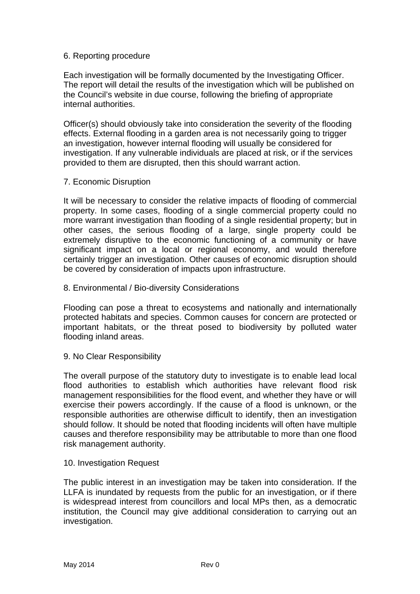# 6. Reporting procedure

Each investigation will be formally documented by the Investigating Officer. The report will detail the results of the investigation which will be published on the Council's website in due course, following the briefing of appropriate internal authorities.

Officer(s) should obviously take into consideration the severity of the flooding effects. External flooding in a garden area is not necessarily going to trigger an investigation, however internal flooding will usually be considered for investigation. If any vulnerable individuals are placed at risk, or if the services provided to them are disrupted, then this should warrant action.

## 7. Economic Disruption

It will be necessary to consider the relative impacts of flooding of commercial property. In some cases, flooding of a single commercial property could no more warrant investigation than flooding of a single residential property; but in other cases, the serious flooding of a large, single property could be extremely disruptive to the economic functioning of a community or have significant impact on a local or regional economy, and would therefore certainly trigger an investigation. Other causes of economic disruption should be covered by consideration of impacts upon infrastructure.

## 8. Environmental / Bio-diversity Considerations

Flooding can pose a threat to ecosystems and nationally and internationally protected habitats and species. Common causes for concern are protected or important habitats, or the threat posed to biodiversity by polluted water flooding inland areas.

## 9. No Clear Responsibility

The overall purpose of the statutory duty to investigate is to enable lead local flood authorities to establish which authorities have relevant flood risk management responsibilities for the flood event, and whether they have or will exercise their powers accordingly. If the cause of a flood is unknown, or the responsible authorities are otherwise difficult to identify, then an investigation should follow. It should be noted that flooding incidents will often have multiple causes and therefore responsibility may be attributable to more than one flood risk management authority.

## 10. Investigation Request

The public interest in an investigation may be taken into consideration. If the LLFA is inundated by requests from the public for an investigation, or if there is widespread interest from councillors and local MPs then, as a democratic institution, the Council may give additional consideration to carrying out an investigation.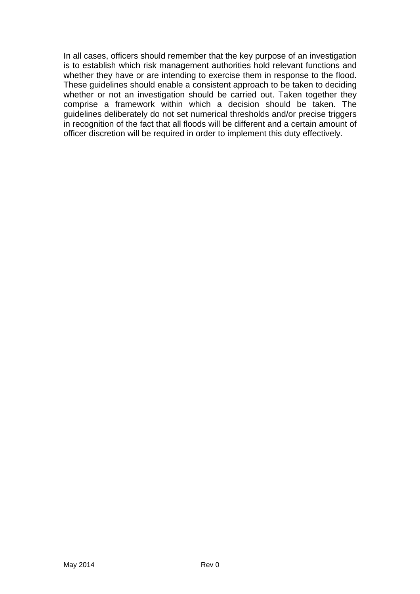In all cases, officers should remember that the key purpose of an investigation is to establish which risk management authorities hold relevant functions and whether they have or are intending to exercise them in response to the flood. These guidelines should enable a consistent approach to be taken to deciding whether or not an investigation should be carried out. Taken together they comprise a framework within which a decision should be taken. The guidelines deliberately do not set numerical thresholds and/or precise triggers in recognition of the fact that all floods will be different and a certain amount of officer discretion will be required in order to implement this duty effectively.